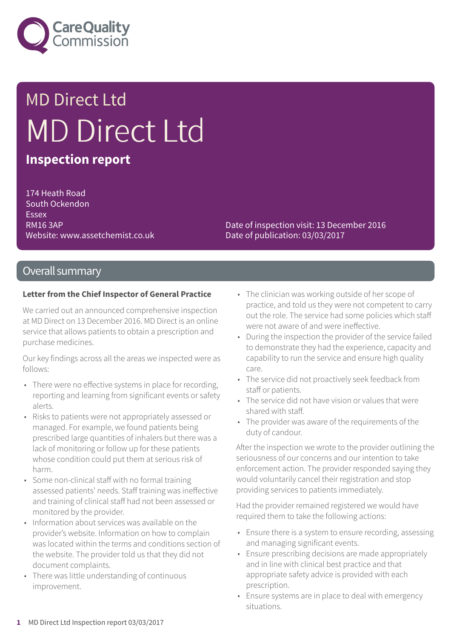

# MD Direct Ltd MD Direct Ltd

### **Inspection report**

174 Heath Road South Ockendon Essex RM16 3AP Website: www.assetchemist.co.uk

Date of inspection visit: 13 December 2016 Date of publication: 03/03/2017

#### Overall summary

#### **Letter from the Chief Inspector of General Practice**

We carried out an announced comprehensive inspection at MD Direct on 13 December 2016. MD Direct is an online service that allows patients to obtain a prescription and purchase medicines.

Our key findings across all the areas we inspected were as follows:

- There were no effective systems in place for recording, reporting and learning from significant events or safety alerts.
- Risks to patients were not appropriately assessed or managed. For example, we found patients being prescribed large quantities of inhalers but there was a lack of monitoring or follow up for these patients whose condition could put them at serious risk of harm.
- Some non-clinical staff with no formal training assessed patients' needs. Staff training was ineffective and training of clinical staff had not been assessed or monitored by the provider.
- Information about services was available on the provider's website. Information on how to complain was located within the terms and conditions section of the website. The provider told us that they did not document complaints.
- There was little understanding of continuous improvement.
- The clinician was working outside of her scope of practice, and told us they were not competent to carry out the role. The service had some policies which staff were not aware of and were ineffective.
- During the inspection the provider of the service failed to demonstrate they had the experience, capacity and capability to run the service and ensure high quality care.
- The service did not proactively seek feedback from staff or patients.
- The service did not have vision or values that were shared with staff.
- The provider was aware of the requirements of the duty of candour.

After the inspection we wrote to the provider outlining the seriousness of our concerns and our intention to take enforcement action. The provider responded saying they would voluntarily cancel their registration and stop providing services to patients immediately.

Had the provider remained registered we would have required them to take the following actions:

- Ensure there is a system to ensure recording, assessing and managing significant events.
- Ensure prescribing decisions are made appropriately and in line with clinical best practice and that appropriate safety advice is provided with each prescription.
- Ensure systems are in place to deal with emergency situations.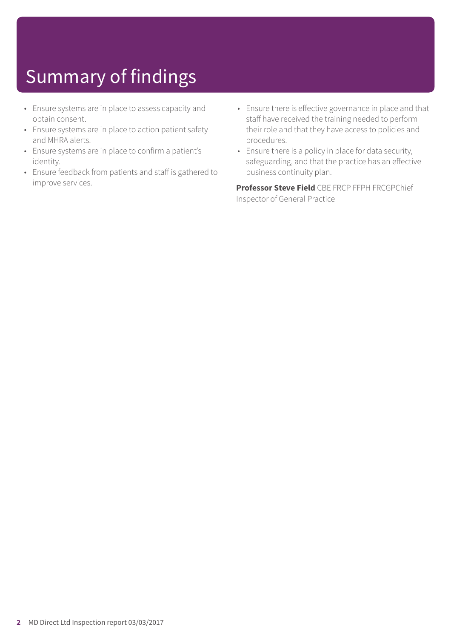## Summary of findings

- Ensure systems are in place to assess capacity and obtain consent.
- Ensure systems are in place to action patient safety and MHRA alerts.
- Ensure systems are in place to confirm a patient's identity.
- Ensure feedback from patients and staff is gathered to improve services.
- Ensure there is effective governance in place and that staff have received the training needed to perform their role and that they have access to policies and procedures.
- Ensure there is a policy in place for data security, safeguarding, and that the practice has an effective business continuity plan.

**Professor Steve Field** CBE FRCP FFPH FRCGPChief Inspector of General Practice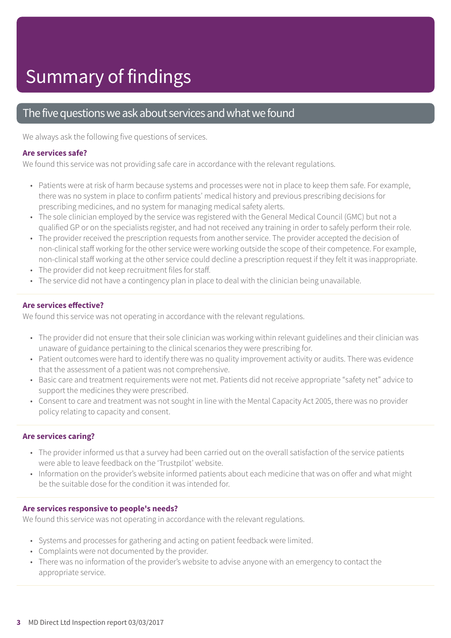### The five questions we ask about services and what we found

We always ask the following five questions of services.

#### **Are services safe?**

We found this service was not providing safe care in accordance with the relevant regulations.

- Patients were at risk of harm because systems and processes were not in place to keep them safe. For example, there was no system in place to confirm patients' medical history and previous prescribing decisions for prescribing medicines, and no system for managing medical safety alerts.
- The sole clinician employed by the service was registered with the General Medical Council (GMC) but not a qualified GP or on the specialists register, and had not received any training in order to safely perform their role.
- The provider received the prescription requests from another service. The provider accepted the decision of non-clinical staff working for the other service were working outside the scope of their competence. For example, non-clinical staff working at the other service could decline a prescription request if they felt it was inappropriate.
- The provider did not keep recruitment files for staff.
- The service did not have a contingency plan in place to deal with the clinician being unavailable.

#### **Are services effective?**

We found this service was not operating in accordance with the relevant regulations.

- The provider did not ensure that their sole clinician was working within relevant guidelines and their clinician was unaware of guidance pertaining to the clinical scenarios they were prescribing for.
- Patient outcomes were hard to identify there was no quality improvement activity or audits. There was evidence that the assessment of a patient was not comprehensive.
- Basic care and treatment requirements were not met. Patients did not receive appropriate "safety net" advice to support the medicines they were prescribed.
- Consent to care and treatment was not sought in line with the Mental Capacity Act 2005, there was no provider policy relating to capacity and consent.

#### **Are services caring?**

- The provider informed us that a survey had been carried out on the overall satisfaction of the service patients were able to leave feedback on the 'Trustpilot' website.
- Information on the provider's website informed patients about each medicine that was on offer and what might be the suitable dose for the condition it was intended for.

#### **Are services responsive to people's needs?**

We found this service was not operating in accordance with the relevant regulations.

- Systems and processes for gathering and acting on patient feedback were limited.
- Complaints were not documented by the provider.
- There was no information of the provider's website to advise anyone with an emergency to contact the appropriate service.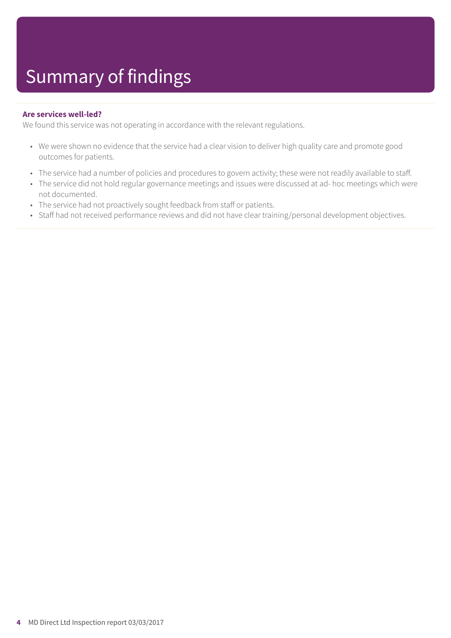#### **Are services well-led?**

We found this service was not operating in accordance with the relevant regulations.

- We were shown no evidence that the service had a clear vision to deliver high quality care and promote good outcomes for patients.
- The service had a number of policies and procedures to govern activity; these were not readily available to staff.
- The service did not hold regular governance meetings and issues were discussed at ad- hoc meetings which were not documented.
- The service had not proactively sought feedback from staff or patients.
- Staff had not received performance reviews and did not have clear training/personal development objectives.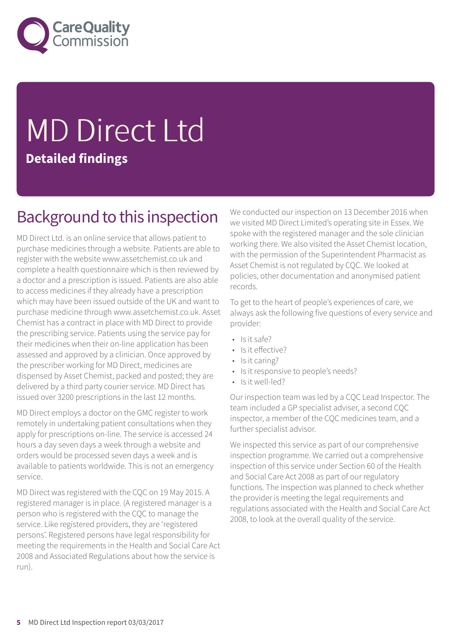

# MD Direct Ltd **Detailed findings**

### Background to this inspection

MD Direct Ltd. is an online service that allows patient to purchase medicines through a website. Patients are able to register with the website www.assetchemist.co.uk and complete a health questionnaire which is then reviewed by a doctor and a prescription is issued. Patients are also able to access medicines if they already have a prescription which may have been issued outside of the UK and want to purchase medicine through www.assetchemist.co.uk. Asset Chemist has a contract in place with MD Direct to provide the prescribing service. Patients using the service pay for their medicines when their on-line application has been assessed and approved by a clinician. Once approved by the prescriber working for MD Direct, medicines are dispensed by Asset Chemist, packed and posted; they are delivered by a third party courier service. MD Direct has issued over 3200 prescriptions in the last 12 months.

MD Direct employs a doctor on the GMC register to work remotely in undertaking patient consultations when they apply for prescriptions on-line. The service is accessed 24 hours a day seven days a week through a website and orders would be processed seven days a week and is available to patients worldwide. This is not an emergency service.

MD Direct was registered with the CQC on 19 May 2015. A registered manager is in place. (A registered manager is a person who is registered with the CQC to manage the service. Like registered providers, they are 'registered persons'. Registered persons have legal responsibility for meeting the requirements in the Health and Social Care Act 2008 and Associated Regulations about how the service is run).

We conducted our inspection on 13 December 2016 when we visited MD Direct Limited's operating site in Essex. We spoke with the registered manager and the sole clinician working there. We also visited the Asset Chemist location, with the permission of the Superintendent Pharmacist as Asset Chemist is not regulated by CQC. We looked at policies, other documentation and anonymised patient records.

To get to the heart of people's experiences of care, we always ask the following five questions of every service and provider:

- Is it safe?
- Is it effective?
- Is it caring?
- Is it responsive to people's needs?
- Is it well-led?

Our inspection team was led by a CQC Lead Inspector. The team included a GP specialist adviser, a second CQC inspector, a member of the CQC medicines team, and a further specialist advisor.

We inspected this service as part of our comprehensive inspection programme. We carried out a comprehensive inspection of this service under Section 60 of the Health and Social Care Act 2008 as part of our regulatory functions. The inspection was planned to check whether the provider is meeting the legal requirements and regulations associated with the Health and Social Care Act 2008, to look at the overall quality of the service.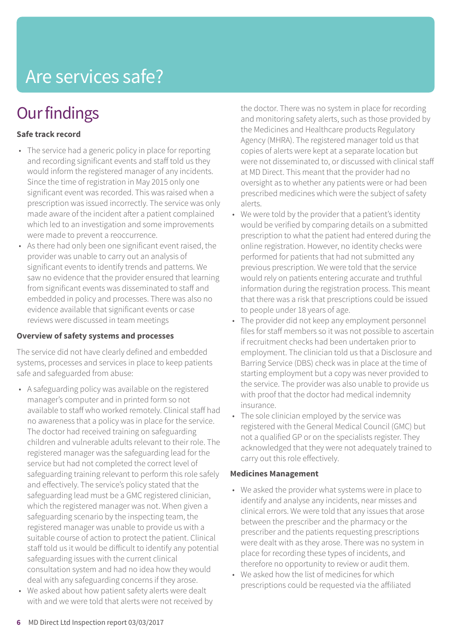### Are services safe?

### **Our findings**

#### **Safe track record**

- The service had a generic policy in place for reporting and recording significant events and staff told us they would inform the registered manager of any incidents. Since the time of registration in May 2015 only one significant event was recorded. This was raised when a prescription was issued incorrectly. The service was only made aware of the incident after a patient complained which led to an investigation and some improvements were made to prevent a reoccurrence.
- As there had only been one significant event raised, the provider was unable to carry out an analysis of significant events to identify trends and patterns. We saw no evidence that the provider ensured that learning from significant events was disseminated to staff and embedded in policy and processes. There was also no evidence available that significant events or case reviews were discussed in team meetings

#### **Overview of safety systems and processes**

The service did not have clearly defined and embedded systems, processes and services in place to keep patients safe and safeguarded from abuse:

- A safeguarding policy was available on the registered manager's computer and in printed form so not available to staff who worked remotely. Clinical staff had no awareness that a policy was in place for the service. The doctor had received training on safeguarding children and vulnerable adults relevant to their role. The registered manager was the safeguarding lead for the service but had not completed the correct level of safeguarding training relevant to perform this role safely and effectively. The service's policy stated that the safeguarding lead must be a GMC registered clinician, which the registered manager was not. When given a safeguarding scenario by the inspecting team, the registered manager was unable to provide us with a suitable course of action to protect the patient. Clinical staff told us it would be difficult to identify any potential safeguarding issues with the current clinical consultation system and had no idea how they would deal with any safeguarding concerns if they arose.
- We asked about how patient safety alerts were dealt with and we were told that alerts were not received by

the doctor. There was no system in place for recording and monitoring safety alerts, such as those provided by the Medicines and Healthcare products Regulatory Agency (MHRA). The registered manager told us that copies of alerts were kept at a separate location but were not disseminated to, or discussed with clinical staff at MD Direct. This meant that the provider had no oversight as to whether any patients were or had been prescribed medicines which were the subject of safety alerts.

- We were told by the provider that a patient's identity would be verified by comparing details on a submitted prescription to what the patient had entered during the online registration. However, no identity checks were performed for patients that had not submitted any previous prescription. We were told that the service would rely on patients entering accurate and truthful information during the registration process. This meant that there was a risk that prescriptions could be issued to people under 18 years of age.
- The provider did not keep any employment personnel files for staff members so it was not possible to ascertain if recruitment checks had been undertaken prior to employment. The clinician told us that a Disclosure and Barring Service (DBS) check was in place at the time of starting employment but a copy was never provided to the service. The provider was also unable to provide us with proof that the doctor had medical indemnity insurance.
- The sole clinician employed by the service was registered with the General Medical Council (GMC) but not a qualified GP or on the specialists register. They acknowledged that they were not adequately trained to carry out this role effectively.

#### **Medicines Management**

- We asked the provider what systems were in place to identify and analyse any incidents, near misses and clinical errors. We were told that any issues that arose between the prescriber and the pharmacy or the prescriber and the patients requesting prescriptions were dealt with as they arose. There was no system in place for recording these types of incidents, and therefore no opportunity to review or audit them.
- We asked how the list of medicines for which prescriptions could be requested via the affiliated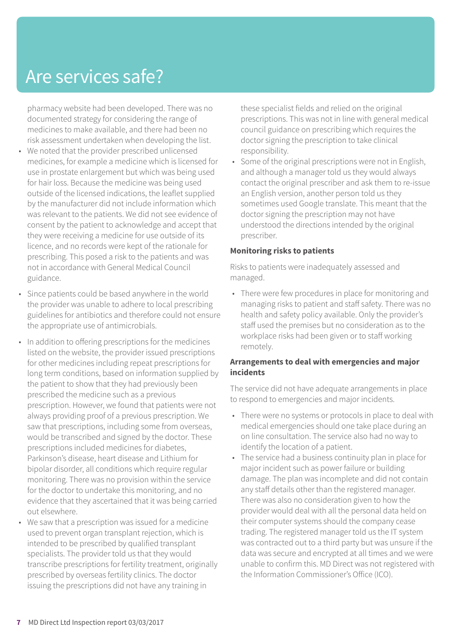### Are services safe?

pharmacy website had been developed. There was no documented strategy for considering the range of medicines to make available, and there had been no risk assessment undertaken when developing the list.

- We noted that the provider prescribed unlicensed medicines, for example a medicine which is licensed for use in prostate enlargement but which was being used for hair loss. Because the medicine was being used outside of the licensed indications, the leaflet supplied by the manufacturer did not include information which was relevant to the patients. We did not see evidence of consent by the patient to acknowledge and accept that they were receiving a medicine for use outside of its licence, and no records were kept of the rationale for prescribing. This posed a risk to the patients and was not in accordance with General Medical Council guidance.
- Since patients could be based anywhere in the world the provider was unable to adhere to local prescribing guidelines for antibiotics and therefore could not ensure the appropriate use of antimicrobials.
- In addition to offering prescriptions for the medicines listed on the website, the provider issued prescriptions for other medicines including repeat prescriptions for long term conditions, based on information supplied by the patient to show that they had previously been prescribed the medicine such as a previous prescription. However, we found that patients were not always providing proof of a previous prescription. We saw that prescriptions, including some from overseas, would be transcribed and signed by the doctor. These prescriptions included medicines for diabetes, Parkinson's disease, heart disease and Lithium for bipolar disorder, all conditions which require regular monitoring. There was no provision within the service for the doctor to undertake this monitoring, and no evidence that they ascertained that it was being carried out elsewhere.
- We saw that a prescription was issued for a medicine used to prevent organ transplant rejection, which is intended to be prescribed by qualified transplant specialists. The provider told us that they would transcribe prescriptions for fertility treatment, originally prescribed by overseas fertility clinics. The doctor issuing the prescriptions did not have any training in

these specialist fields and relied on the original prescriptions. This was not in line with general medical council guidance on prescribing which requires the doctor signing the prescription to take clinical responsibility.

Some of the original prescriptions were not in English, and although a manager told us they would always contact the original prescriber and ask them to re-issue an English version, another person told us they sometimes used Google translate. This meant that the doctor signing the prescription may not have understood the directions intended by the original prescriber.

#### **Monitoring risks to patients**

Risks to patients were inadequately assessed and managed.

• There were few procedures in place for monitoring and managing risks to patient and staff safety. There was no health and safety policy available. Only the provider's staff used the premises but no consideration as to the workplace risks had been given or to staff working remotely.

#### **Arrangements to deal with emergencies and major incidents**

The service did not have adequate arrangements in place to respond to emergencies and major incidents.

- There were no systems or protocols in place to deal with medical emergencies should one take place during an on line consultation. The service also had no way to identify the location of a patient.
- The service had a business continuity plan in place for major incident such as power failure or building damage. The plan was incomplete and did not contain any staff details other than the registered manager. There was also no consideration given to how the provider would deal with all the personal data held on their computer systems should the company cease trading. The registered manager told us the IT system was contracted out to a third party but was unsure if the data was secure and encrypted at all times and we were unable to confirm this. MD Direct was not registered with the Information Commissioner's Office (ICO).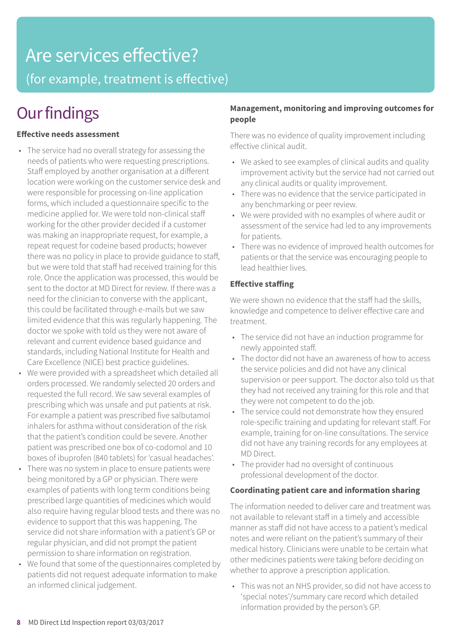# Are services effective?

(for example, treatment is effective)

### **Our findings**

#### **Effective needs assessment**

- The service had no overall strategy for assessing the needs of patients who were requesting prescriptions. Staff employed by another organisation at a different location were working on the customer service desk and were responsible for processing on-line application forms, which included a questionnaire specific to the medicine applied for. We were told non-clinical staff working for the other provider decided if a customer was making an inappropriate request, for example, a repeat request for codeine based products; however there was no policy in place to provide guidance to staff, but we were told that staff had received training for this role. Once the application was processed, this would be sent to the doctor at MD Direct for review. If there was a need for the clinician to converse with the applicant, this could be facilitated through e-mails but we saw limited evidence that this was regularly happening. The doctor we spoke with told us they were not aware of relevant and current evidence based guidance and standards, including National Institute for Health and Care Excellence (NICE) best practice guidelines.
- We were provided with a spreadsheet which detailed all orders processed. We randomly selected 20 orders and requested the full record. We saw several examples of prescribing which was unsafe and put patients at risk. For example a patient was prescribed five salbutamol inhalers for asthma without consideration of the risk that the patient's condition could be severe. Another patient was prescribed one box of co-codomol and 10 boxes of ibuprofen (840 tablets) for 'casual headaches'.
- There was no system in place to ensure patients were being monitored by a GP or physician. There were examples of patients with long term conditions being prescribed large quantities of medicines which would also require having regular blood tests and there was no evidence to support that this was happening. The service did not share information with a patient's GP or regular physician, and did not prompt the patient permission to share information on registration.
- We found that some of the questionnaires completed by patients did not request adequate information to make an informed clinical judgement.

#### **Management, monitoring and improving outcomes for people**

There was no evidence of quality improvement including effective clinical audit.

- We asked to see examples of clinical audits and quality improvement activity but the service had not carried out any clinical audits or quality improvement.
- There was no evidence that the service participated in any benchmarking or peer review.
- We were provided with no examples of where audit or assessment of the service had led to any improvements for patients.
- There was no evidence of improved health outcomes for patients or that the service was encouraging people to lead healthier lives.

#### **Effective staffing**

We were shown no evidence that the staff had the skills, knowledge and competence to deliver effective care and treatment.

- The service did not have an induction programme for newly appointed staff.
- The doctor did not have an awareness of how to access the service policies and did not have any clinical supervision or peer support. The doctor also told us that they had not received any training for this role and that they were not competent to do the job.
- The service could not demonstrate how they ensured role-specific training and updating for relevant staff. For example, training for on-line consultations. The service did not have any training records for any employees at MD Direct.
- The provider had no oversight of continuous professional development of the doctor.

#### **Coordinating patient care and information sharing**

The information needed to deliver care and treatment was not available to relevant staff in a timely and accessible manner as staff did not have access to a patient's medical notes and were reliant on the patient's summary of their medical history. Clinicians were unable to be certain what other medicines patients were taking before deciding on whether to approve a prescription application.

• This was not an NHS provider, so did not have access to 'special notes'/summary care record which detailed information provided by the person's GP.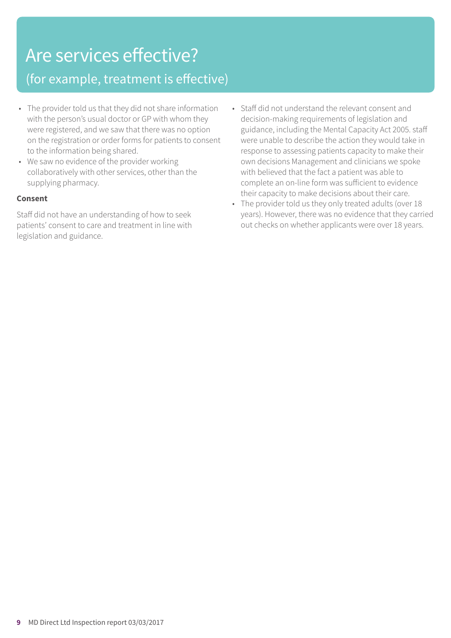## Are services effective?

### (for example, treatment is effective)

- The provider told us that they did not share information with the person's usual doctor or GP with whom they were registered, and we saw that there was no option on the registration or order forms for patients to consent to the information being shared.
- We saw no evidence of the provider working collaboratively with other services, other than the supplying pharmacy.

#### **Consent**

Staff did not have an understanding of how to seek patients' consent to care and treatment in line with legislation and guidance.

- Staff did not understand the relevant consent and decision-making requirements of legislation and guidance, including the Mental Capacity Act 2005. staff were unable to describe the action they would take in response to assessing patients capacity to make their own decisions Management and clinicians we spoke with believed that the fact a patient was able to complete an on-line form was sufficient to evidence their capacity to make decisions about their care.
- The provider told us they only treated adults (over 18 years). However, there was no evidence that they carried out checks on whether applicants were over 18 years.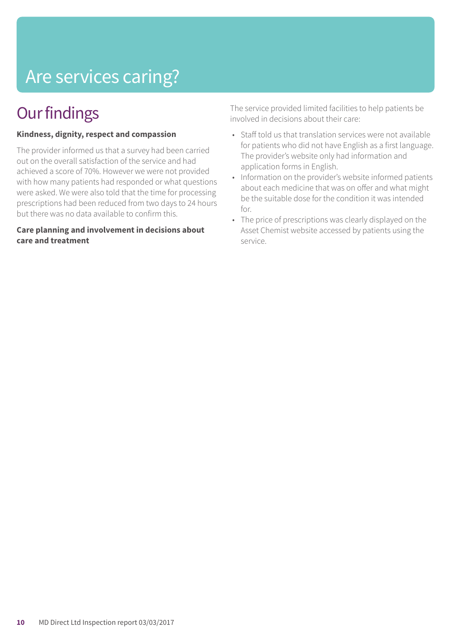## Are services caring?

### **Our findings**

#### **Kindness, dignity, respect and compassion**

The provider informed us that a survey had been carried out on the overall satisfaction of the service and had achieved a score of 70%. However we were not provided with how many patients had responded or what questions were asked. We were also told that the time for processing prescriptions had been reduced from two days to 24 hours but there was no data available to confirm this.

#### **Care planning and involvement in decisions about care and treatment**

The service provided limited facilities to help patients be involved in decisions about their care:

- Staff told us that translation services were not available for patients who did not have English as a first language. The provider's website only had information and application forms in English.
- Information on the provider's website informed patients about each medicine that was on offer and what might be the suitable dose for the condition it was intended for.
- The price of prescriptions was clearly displayed on the Asset Chemist website accessed by patients using the service.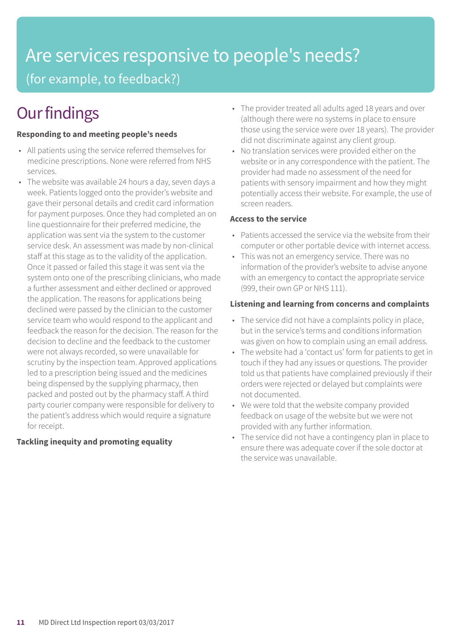### Are services responsive to people's needs? (for example, to feedback?)

### **Our findings**

#### **Responding to and meeting people's needs**

- All patients using the service referred themselves for medicine prescriptions. None were referred from NHS services.
- The website was available 24 hours a day, seven days a week. Patients logged onto the provider's website and gave their personal details and credit card information for payment purposes. Once they had completed an on line questionnaire for their preferred medicine, the application was sent via the system to the customer service desk. An assessment was made by non-clinical staff at this stage as to the validity of the application. Once it passed or failed this stage it was sent via the system onto one of the prescribing clinicians, who made a further assessment and either declined or approved the application. The reasons for applications being declined were passed by the clinician to the customer service team who would respond to the applicant and feedback the reason for the decision. The reason for the decision to decline and the feedback to the customer were not always recorded, so were unavailable for scrutiny by the inspection team. Approved applications led to a prescription being issued and the medicines being dispensed by the supplying pharmacy, then packed and posted out by the pharmacy staff. A third party courier company were responsible for delivery to the patient's address which would require a signature for receipt.

#### **Tackling inequity and promoting equality**

- The provider treated all adults aged 18 years and over (although there were no systems in place to ensure those using the service were over 18 years). The provider did not discriminate against any client group.
- No translation services were provided either on the website or in any correspondence with the patient. The provider had made no assessment of the need for patients with sensory impairment and how they might potentially access their website. For example, the use of screen readers.

#### **Access to the service**

- Patients accessed the service via the website from their computer or other portable device with internet access.
- This was not an emergency service. There was no information of the provider's website to advise anyone with an emergency to contact the appropriate service (999, their own GP or NHS 111).

#### **Listening and learning from concerns and complaints**

- The service did not have a complaints policy in place, but in the service's terms and conditions information was given on how to complain using an email address.
- The website had a 'contact us' form for patients to get in touch if they had any issues or questions. The provider told us that patients have complained previously if their orders were rejected or delayed but complaints were not documented.
- We were told that the website company provided feedback on usage of the website but we were not provided with any further information.
- The service did not have a contingency plan in place to ensure there was adequate cover if the sole doctor at the service was unavailable.